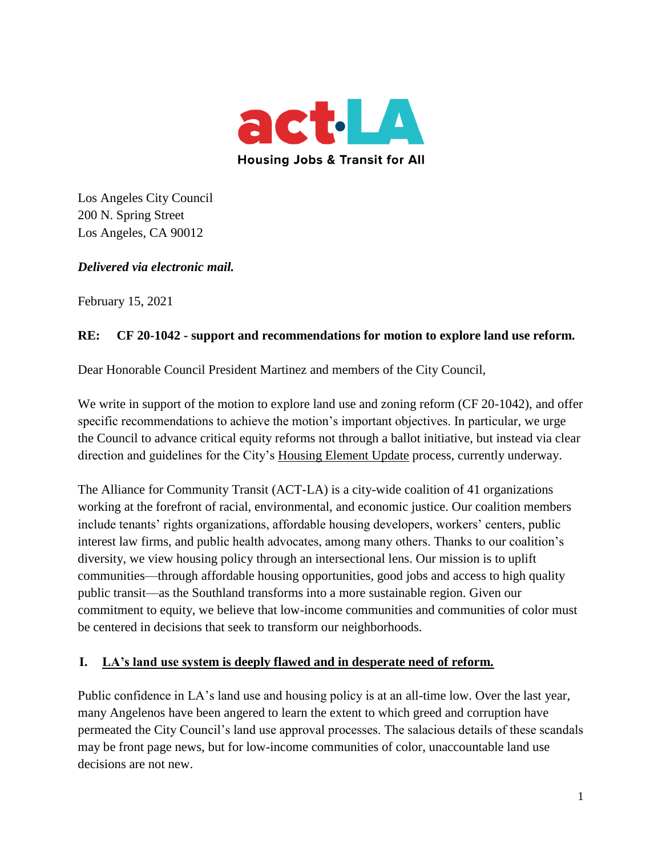

Los Angeles City Council 200 N. Spring Street Los Angeles, CA 90012

*Delivered via electronic mail.*

February 15, 2021

#### **RE: CF 20-1042 - support and recommendations for motion to explore land use reform.**

Dear Honorable Council President Martinez and members of the City Council,

We write in support of the motion to explore land use and zoning reform (CF 20-1042), and offer specific recommendations to achieve the motion's important objectives. In particular, we urge the Council to advance critical equity reforms not through a ballot initiative, but instead via clear direction and guidelines for the City's Housing Element Update process, currently underway.

The Alliance for Community Transit (ACT-LA) is a city-wide coalition of 41 organizations working at the forefront of racial, environmental, and economic justice. Our coalition members include tenants' rights organizations, affordable housing developers, workers' centers, public interest law firms, and public health advocates, among many others. Thanks to our coalition's diversity, we view housing policy through an intersectional lens. Our mission is to uplift communities—through affordable housing opportunities, good jobs and access to high quality public transit—as the Southland transforms into a more sustainable region. Given our commitment to equity, we believe that low-income communities and communities of color must be centered in decisions that seek to transform our neighborhoods.

### **I. LA's land use system is deeply flawed and in desperate need of reform.**

Public confidence in LA's land use and housing policy is at an all-time low. Over the last year, many Angelenos have been angered to learn the extent to which greed and corruption have permeated the City Council's land use approval processes. The salacious details of these scandals may be front page news, but for low-income communities of color, unaccountable land use decisions are not new.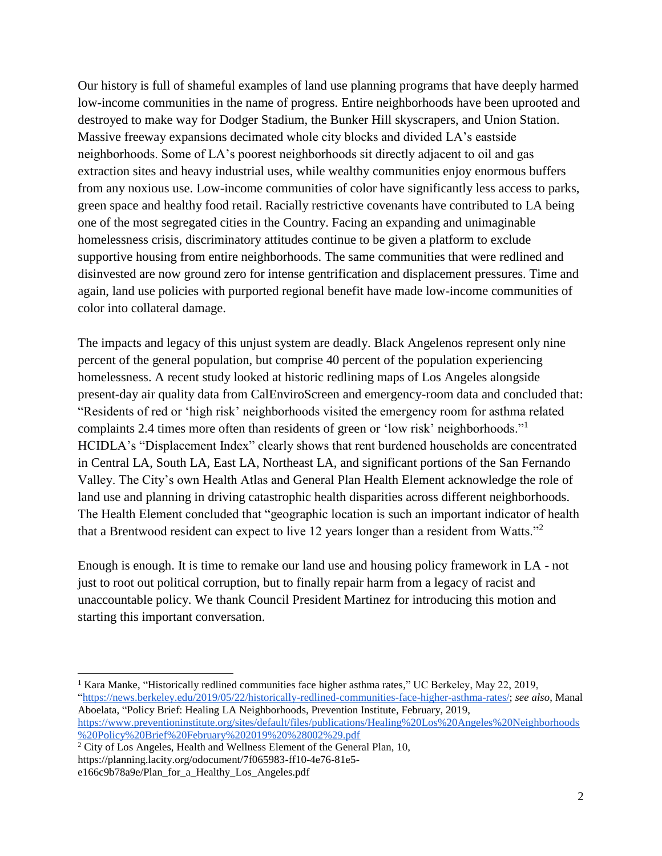Our history is full of shameful examples of land use planning programs that have deeply harmed low-income communities in the name of progress. Entire neighborhoods have been uprooted and destroyed to make way for Dodger Stadium, the Bunker Hill skyscrapers, and Union Station. Massive freeway expansions decimated whole city blocks and divided LA's eastside neighborhoods. Some of LA's poorest neighborhoods sit directly adjacent to oil and gas extraction sites and heavy industrial uses, while wealthy communities enjoy enormous buffers from any noxious use. Low-income communities of color have significantly less access to parks, green space and healthy food retail. Racially restrictive covenants have contributed to LA being one of the most segregated cities in the Country. Facing an expanding and unimaginable homelessness crisis, discriminatory attitudes continue to be given a platform to exclude supportive housing from entire neighborhoods. The same communities that were redlined and disinvested are now ground zero for intense gentrification and displacement pressures. Time and again, land use policies with purported regional benefit have made low-income communities of color into collateral damage.

The impacts and legacy of this unjust system are deadly. Black Angelenos represent only nine percent of the general population, but comprise 40 percent of the population experiencing homelessness. A recent study looked at historic redlining maps of Los Angeles alongside present-day air quality data from CalEnviroScreen and emergency-room data and concluded that: "Residents of red or 'high risk' neighborhoods visited the emergency room for asthma related complaints 2.4 times more often than residents of green or 'low risk' neighborhoods."<sup>1</sup> HCIDLA's "Displacement Index" clearly shows that rent burdened households are concentrated in Central LA, South LA, East LA, Northeast LA, and significant portions of the San Fernando Valley. The City's own Health Atlas and General Plan Health Element acknowledge the role of land use and planning in driving catastrophic health disparities across different neighborhoods. The Health Element concluded that "geographic location is such an important indicator of health that a Brentwood resident can expect to live 12 years longer than a resident from Watts."<sup>2</sup>

Enough is enough. It is time to remake our land use and housing policy framework in LA - not just to root out political corruption, but to finally repair harm from a legacy of racist and unaccountable policy. We thank Council President Martinez for introducing this motion and starting this important conversation.

<sup>&</sup>lt;sup>1</sup> Kara Manke, "Historically redlined communities face higher asthma rates," UC Berkeley, May 22, 2019, ["https://news.berkeley.edu/2019/05/22/historically-redlined-communities-face-higher-asthma-rates/;](https://news.berkeley.edu/2019/05/22/historically-redlined-communities-face-higher-asthma-rates/) *see also*, Manal Aboelata, "Policy Brief: Healing LA Neighborhoods, Prevention Institute, February, 2019, [https://www.preventioninstitute.org/sites/default/files/publications/Healing%20Los%20Angeles%20Neighborhoods](https://www.preventioninstitute.org/sites/default/files/publications/Healing%20Los%20Angeles%20Neighborhoods%20Policy%20Brief%20February%202019%20%28002%29.pdf) [%20Policy%20Brief%20February%202019%20%28002%29.pdf](https://www.preventioninstitute.org/sites/default/files/publications/Healing%20Los%20Angeles%20Neighborhoods%20Policy%20Brief%20February%202019%20%28002%29.pdf)

 $2$  City of Los Angeles, Health and Wellness Element of the General Plan, 10, https://planning.lacity.org/odocument/7f065983-ff10-4e76-81e5-

e166c9b78a9e/Plan\_for\_a\_Healthy\_Los\_Angeles.pdf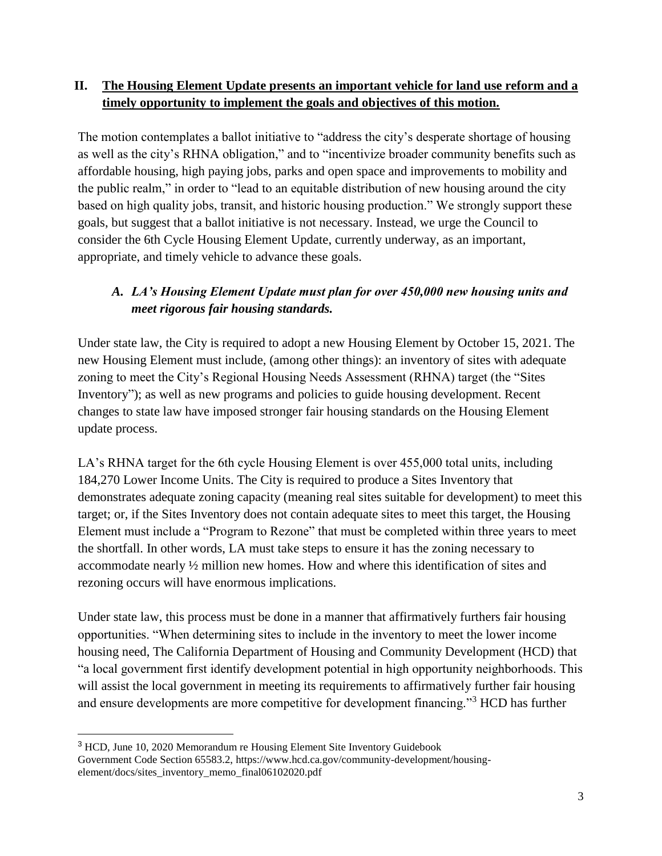### **II. The Housing Element Update presents an important vehicle for land use reform and a timely opportunity to implement the goals and objectives of this motion.**

The motion contemplates a ballot initiative to "address the city's desperate shortage of housing as well as the city's RHNA obligation," and to "incentivize broader community benefits such as affordable housing, high paying jobs, parks and open space and improvements to mobility and the public realm," in order to "lead to an equitable distribution of new housing around the city based on high quality jobs, transit, and historic housing production." We strongly support these goals, but suggest that a ballot initiative is not necessary. Instead, we urge the Council to consider the 6th Cycle Housing Element Update, currently underway, as an important, appropriate, and timely vehicle to advance these goals.

# *A. LA's Housing Element Update must plan for over 450,000 new housing units and meet rigorous fair housing standards.*

Under state law, the City is required to adopt a new Housing Element by October 15, 2021. The new Housing Element must include, (among other things): an inventory of sites with adequate zoning to meet the City's Regional Housing Needs Assessment (RHNA) target (the "Sites Inventory"); as well as new programs and policies to guide housing development. Recent changes to state law have imposed stronger fair housing standards on the Housing Element update process.

LA's RHNA target for the 6th cycle Housing Element is over 455,000 total units, including 184,270 Lower Income Units. The City is required to produce a Sites Inventory that demonstrates adequate zoning capacity (meaning real sites suitable for development) to meet this target; or, if the Sites Inventory does not contain adequate sites to meet this target, the Housing Element must include a "Program to Rezone" that must be completed within three years to meet the shortfall. In other words, LA must take steps to ensure it has the zoning necessary to accommodate nearly ½ million new homes. How and where this identification of sites and rezoning occurs will have enormous implications.

Under state law, this process must be done in a manner that affirmatively furthers fair housing opportunities. "When determining sites to include in the inventory to meet the lower income housing need, The California Department of Housing and Community Development (HCD) that "a local government first identify development potential in high opportunity neighborhoods. This will assist the local government in meeting its requirements to affirmatively further fair housing and ensure developments are more competitive for development financing."<sup>3</sup> HCD has further

 $\overline{a}$ 

<sup>3</sup> HCD, June 10, 2020 Memorandum re Housing Element Site Inventory Guidebook Government Code Section 65583.2, https://www.hcd.ca.gov/community-development/housingelement/docs/sites\_inventory\_memo\_final06102020.pdf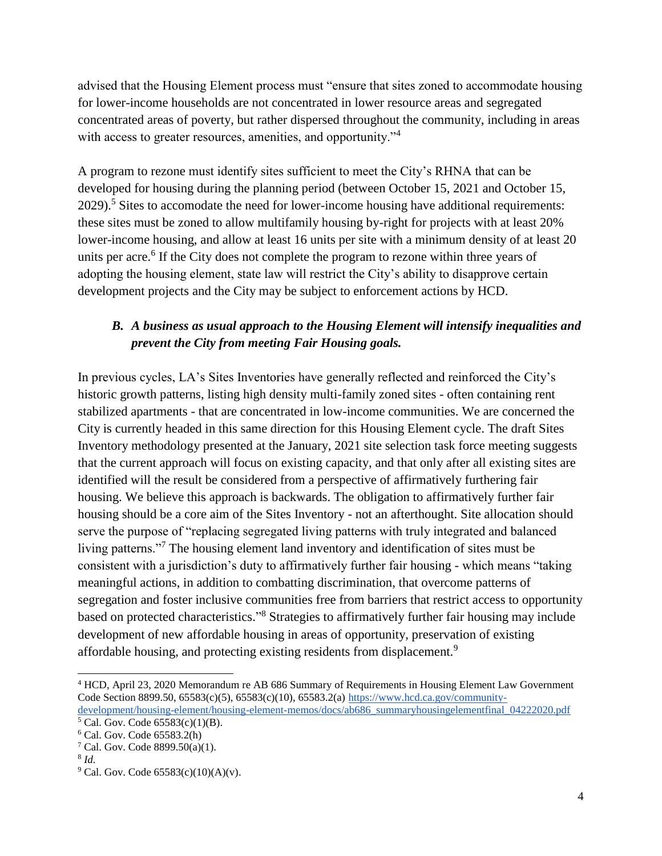advised that the Housing Element process must "ensure that sites zoned to accommodate housing for lower-income households are not concentrated in lower resource areas and segregated concentrated areas of poverty, but rather dispersed throughout the community, including in areas with access to greater resources, amenities, and opportunity."<sup>4</sup>

A program to rezone must identify sites sufficient to meet the City's RHNA that can be developed for housing during the planning period (between October 15, 2021 and October 15,  $2029$ <sup>5</sup>. Sites to accomodate the need for lower-income housing have additional requirements: these sites must be zoned to allow multifamily housing by-right for projects with at least 20% lower-income housing, and allow at least 16 units per site with a minimum density of at least 20 units per acre.<sup>6</sup> If the City does not complete the program to rezone within three years of adopting the housing element, state law will restrict the City's ability to disapprove certain development projects and the City may be subject to enforcement actions by HCD.

## *B. A business as usual approach to the Housing Element will intensify inequalities and prevent the City from meeting Fair Housing goals.*

In previous cycles, LA's Sites Inventories have generally reflected and reinforced the City's historic growth patterns, listing high density multi-family zoned sites - often containing rent stabilized apartments - that are concentrated in low-income communities. We are concerned the City is currently headed in this same direction for this Housing Element cycle. The draft Sites Inventory methodology presented at the January, 2021 site selection task force meeting suggests that the current approach will focus on existing capacity, and that only after all existing sites are identified will the result be considered from a perspective of affirmatively furthering fair housing. We believe this approach is backwards. The obligation to affirmatively further fair housing should be a core aim of the Sites Inventory - not an afterthought. Site allocation should serve the purpose of "replacing segregated living patterns with truly integrated and balanced living patterns."<sup>7</sup> The housing element land inventory and identification of sites must be consistent with a jurisdiction's duty to affirmatively further fair housing - which means "taking meaningful actions, in addition to combatting discrimination, that overcome patterns of segregation and foster inclusive communities free from barriers that restrict access to opportunity based on protected characteristics."<sup>8</sup> Strategies to affirmatively further fair housing may include development of new affordable housing in areas of opportunity, preservation of existing affordable housing, and protecting existing residents from displacement.<sup>9</sup>

<sup>4</sup> HCD, April 23, 2020 Memorandum re AB 686 Summary of Requirements in Housing Element Law Government Code Section 8899.50, 65583(c)(5), 65583(c)(10), 65583.2(a) [https://www.hcd.ca.gov/community](https://www.hcd.ca.gov/community-development/housing-element/housing-element-memos/docs/ab686_summaryhousingelementfinal_04222020.pdf)[development/housing-element/housing-element-memos/docs/ab686\\_summaryhousingelementfinal\\_04222020.pdf](https://www.hcd.ca.gov/community-development/housing-element/housing-element-memos/docs/ab686_summaryhousingelementfinal_04222020.pdf)

 $5$  Cal. Gov. Code  $65583(c)(1)(B)$ .

<sup>6</sup> Cal. Gov. Code 65583.2(h)

<sup>&</sup>lt;sup>7</sup> Cal. Gov. Code  $8899.50(a)(1)$ .

<sup>8</sup> *Id.*

 $9^9$  Cal. Gov. Code 65583(c)(10)(A)(v).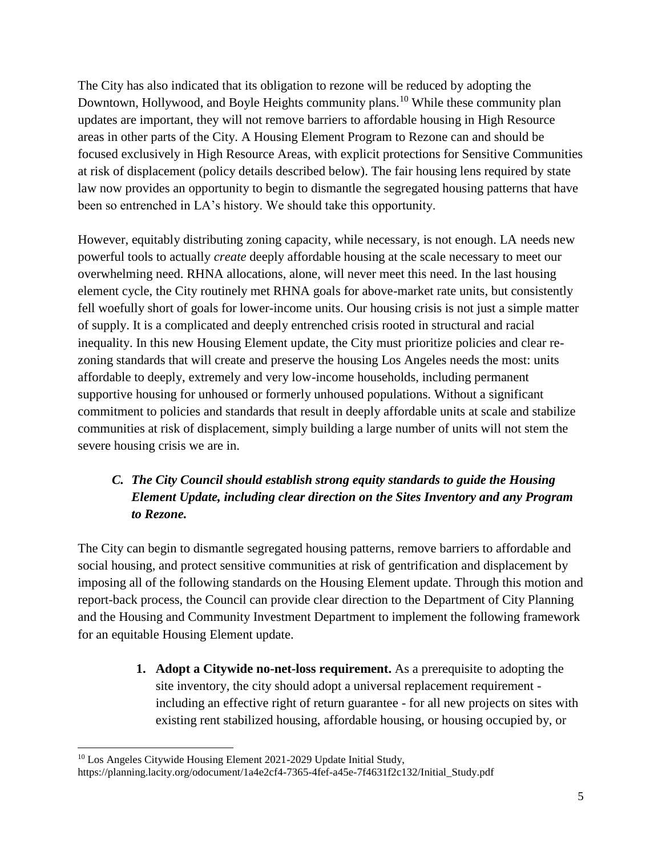The City has also indicated that its obligation to rezone will be reduced by adopting the Downtown, Hollywood, and Boyle Heights community plans.<sup>10</sup> While these community plan updates are important, they will not remove barriers to affordable housing in High Resource areas in other parts of the City. A Housing Element Program to Rezone can and should be focused exclusively in High Resource Areas, with explicit protections for Sensitive Communities at risk of displacement (policy details described below). The fair housing lens required by state law now provides an opportunity to begin to dismantle the segregated housing patterns that have been so entrenched in LA's history. We should take this opportunity.

However, equitably distributing zoning capacity, while necessary, is not enough. LA needs new powerful tools to actually *create* deeply affordable housing at the scale necessary to meet our overwhelming need. RHNA allocations, alone, will never meet this need. In the last housing element cycle, the City routinely met RHNA goals for above-market rate units, but consistently fell woefully short of goals for lower-income units. Our housing crisis is not just a simple matter of supply. It is a complicated and deeply entrenched crisis rooted in structural and racial inequality. In this new Housing Element update, the City must prioritize policies and clear rezoning standards that will create and preserve the housing Los Angeles needs the most: units affordable to deeply, extremely and very low-income households, including permanent supportive housing for unhoused or formerly unhoused populations. Without a significant commitment to policies and standards that result in deeply affordable units at scale and stabilize communities at risk of displacement, simply building a large number of units will not stem the severe housing crisis we are in.

# *C. The City Council should establish strong equity standards to guide the Housing Element Update, including clear direction on the Sites Inventory and any Program to Rezone.*

The City can begin to dismantle segregated housing patterns, remove barriers to affordable and social housing, and protect sensitive communities at risk of gentrification and displacement by imposing all of the following standards on the Housing Element update. Through this motion and report-back process, the Council can provide clear direction to the Department of City Planning and the Housing and Community Investment Department to implement the following framework for an equitable Housing Element update.

> **1. Adopt a Citywide no-net-loss requirement.** As a prerequisite to adopting the site inventory, the city should adopt a universal replacement requirement including an effective right of return guarantee - for all new projects on sites with existing rent stabilized housing, affordable housing, or housing occupied by, or

<sup>&</sup>lt;sup>10</sup> Los Angeles Citywide Housing Element 2021-2029 Update Initial Study,

[https://planning.lacity.org/odocument/1a4e2cf4-7365-4fef-a45e-7f4631f2c132/Initial\\_Study.pdf](https://planning.lacity.org/odocument/1a4e2cf4-7365-4fef-a45e-7f4631f2c132/Initial_Study.pdf)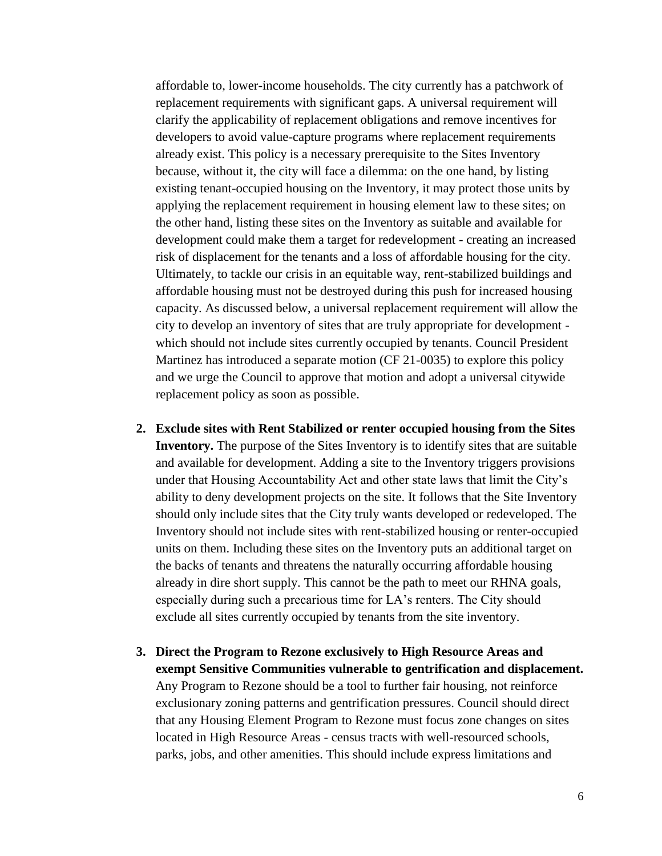affordable to, lower-income households. The city currently has a patchwork of replacement requirements with significant gaps. A universal requirement will clarify the applicability of replacement obligations and remove incentives for developers to avoid value-capture programs where replacement requirements already exist. This policy is a necessary prerequisite to the Sites Inventory because, without it, the city will face a dilemma: on the one hand, by listing existing tenant-occupied housing on the Inventory, it may protect those units by applying the replacement requirement in housing element law to these sites; on the other hand, listing these sites on the Inventory as suitable and available for development could make them a target for redevelopment - creating an increased risk of displacement for the tenants and a loss of affordable housing for the city. Ultimately, to tackle our crisis in an equitable way, rent-stabilized buildings and affordable housing must not be destroyed during this push for increased housing capacity. As discussed below, a universal replacement requirement will allow the city to develop an inventory of sites that are truly appropriate for development which should not include sites currently occupied by tenants. Council President Martinez has introduced a separate motion (CF 21-0035) to explore this policy and we urge the Council to approve that motion and adopt a universal citywide replacement policy as soon as possible.

- **2. Exclude sites with Rent Stabilized or renter occupied housing from the Sites Inventory.** The purpose of the Sites Inventory is to identify sites that are suitable and available for development. Adding a site to the Inventory triggers provisions under that Housing Accountability Act and other state laws that limit the City's ability to deny development projects on the site. It follows that the Site Inventory should only include sites that the City truly wants developed or redeveloped. The Inventory should not include sites with rent-stabilized housing or renter-occupied units on them. Including these sites on the Inventory puts an additional target on the backs of tenants and threatens the naturally occurring affordable housing already in dire short supply. This cannot be the path to meet our RHNA goals, especially during such a precarious time for LA's renters. The City should exclude all sites currently occupied by tenants from the site inventory.
- **3. Direct the Program to Rezone exclusively to High Resource Areas and exempt Sensitive Communities vulnerable to gentrification and displacement.**  Any Program to Rezone should be a tool to further fair housing, not reinforce exclusionary zoning patterns and gentrification pressures. Council should direct that any Housing Element Program to Rezone must focus zone changes on sites located in High Resource Areas - census tracts with well-resourced schools, parks, jobs, and other amenities. This should include express limitations and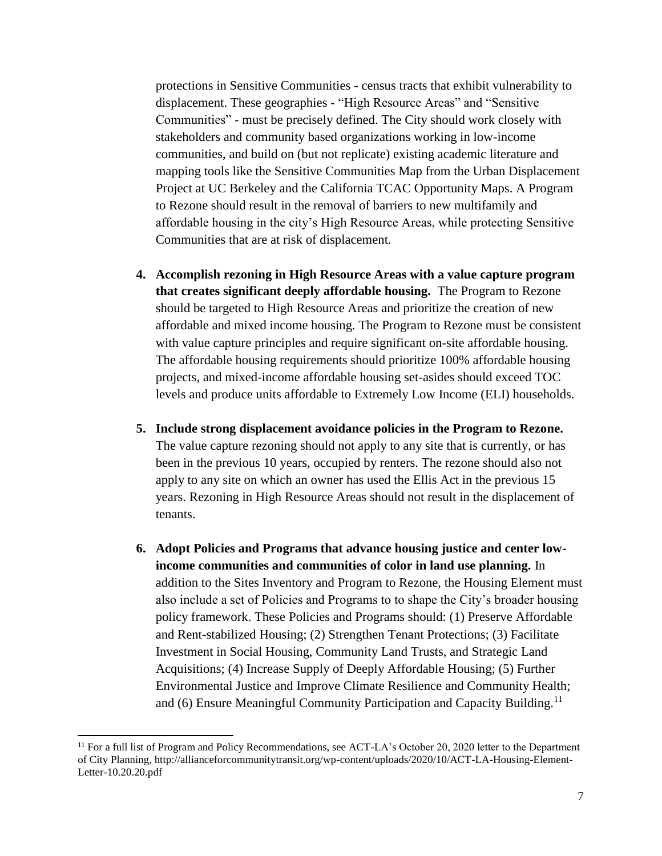protections in Sensitive Communities - census tracts that exhibit vulnerability to displacement. These geographies - "High Resource Areas" and "Sensitive Communities" - must be precisely defined. The City should work closely with stakeholders and community based organizations working in low-income communities, and build on (but not replicate) existing academic literature and mapping tools like the Sensitive Communities Map from the Urban Displacement Project at UC Berkeley and the California TCAC Opportunity Maps. A Program to Rezone should result in the removal of barriers to new multifamily and affordable housing in the city's High Resource Areas, while protecting Sensitive Communities that are at risk of displacement.

- **4. Accomplish rezoning in High Resource Areas with a value capture program that creates significant deeply affordable housing.** The Program to Rezone should be targeted to High Resource Areas and prioritize the creation of new affordable and mixed income housing. The Program to Rezone must be consistent with value capture principles and require significant on-site affordable housing. The affordable housing requirements should prioritize 100% affordable housing projects, and mixed-income affordable housing set-asides should exceed TOC levels and produce units affordable to Extremely Low Income (ELI) households.
- **5. Include strong displacement avoidance policies in the Program to Rezone.**  The value capture rezoning should not apply to any site that is currently, or has been in the previous 10 years, occupied by renters. The rezone should also not apply to any site on which an owner has used the Ellis Act in the previous 15 years. Rezoning in High Resource Areas should not result in the displacement of tenants.
- **6. Adopt Policies and Programs that advance housing justice and center lowincome communities and communities of color in land use planning.** In addition to the Sites Inventory and Program to Rezone, the Housing Element must also include a set of Policies and Programs to to shape the City's broader housing policy framework. These Policies and Programs should: (1) Preserve Affordable and Rent-stabilized Housing; (2) Strengthen Tenant Protections; (3) Facilitate Investment in Social Housing, Community Land Trusts, and Strategic Land Acquisitions; (4) Increase Supply of Deeply Affordable Housing; (5) Further Environmental Justice and Improve Climate Resilience and Community Health; and (6) Ensure Meaningful Community Participation and Capacity Building.<sup>11</sup>

 $\overline{a}$ 

<sup>&</sup>lt;sup>11</sup> For a full list of Program and Policy Recommendations, see ACT-LA's October 20, 2020 letter to the Department of City Planning, http://allianceforcommunitytransit.org/wp-content/uploads/2020/10/ACT-LA-Housing-Element-Letter-10.20.20.pdf